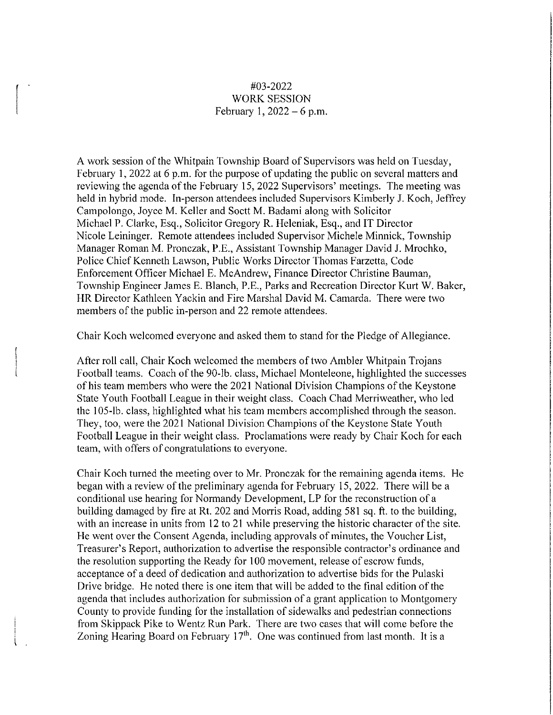## #03-2022 WORK SESSION February 1,  $2022 - 6$  p.m.

 $\vert$ 

A work session of the Whitpain Township Board of Supervisors was held on Tuesday, February 1, 2022 at 6 p.m. for the purpose of updating the public on several matters and reviewing the agenda of the February 15, 2022 Supervisors' meetings. The meeting was held in hybrid mode. In-person attendees included Supervisors Kimberly J. Koch, Jeffrey Campolongo, Joyce M. Keller and Soctt M. Badami along with Solicitor Michael P. Clarke, Esq., Solicitor Gregory R. Heleniak, Esq., and IT Director Nicole Leininger. Remote attendees included Supervisor Michele Minnick, Township Manager Roman M. Pronczak, P.E., Assistant Township Manager David J. Mrochko, Police Chief Kenneth Lawson, Public Works Director Thomas Farzetta, Code Enforcement Officer Michael E. McAndrew, Finance Director Christine Bauman, Township Engineer James E. Blanch, P.E., Parks and Recreation Director Kurt W. Baker, **HR** Director Kathleen Yackin and Fire Marshal David M. Camarda. There were two members of the public in-person and 22 remote attendees.

Chair Koch welcomed everyone and asked them to stand for the Pledge of Allegiance.

After roll call, Chair Koch welcomed the members of two Ambler Whitpain Trojans Football teams. Coach of the 90-lb. class, Michael Monteleone, highlighted the successes of his team members who were the 2021 National Division Champions of the Keystone State Youth Football League in their weight class. Coach Chad Merriweather, who led the 105-lb. class, highlighted what his team members accomplished through the season. They, too, were the 2021 National Division Champions of the Keystone State Youth Football League in their weight class. Proclamations were ready by Chair Koch for each team, with offers of congratulations to everyone.

Chair Koch turned the meeting over to Mr. Pronczak for the remaining agenda items. He began with a review of the preliminary agenda for February 15, 2022. There will be a conditional use hearing for Normandy Development, LP for the reconstruction of a building damaged by fire at Rt. 202 and Morris Road, adding 581 sq. ft. to the building, with an increase in units from 12 to 21 while preserving the historic character of the site. He went over the Consent Agenda, including approvals of minutes, the Voucher List, Treasurer's Report, authorization to advertise the responsible contractor's ordinance and the resolution supporting the Ready for 100 movement, release of escrow funds, acceptance of a deed of dedication and authorization to advertise bids for the Pulaski Drive bridge. He noted there is one item that will be added to the final edition of the agenda that includes authorization for submission of a grant application to Montgomery County to provide funding for the installation of sidewalks and pedestrian connections from Skippack Pike to Wentz Run Park. There are two cases that will come before the Zoning Hearing Board on February  $17<sup>th</sup>$ . One was continued from last month. It is a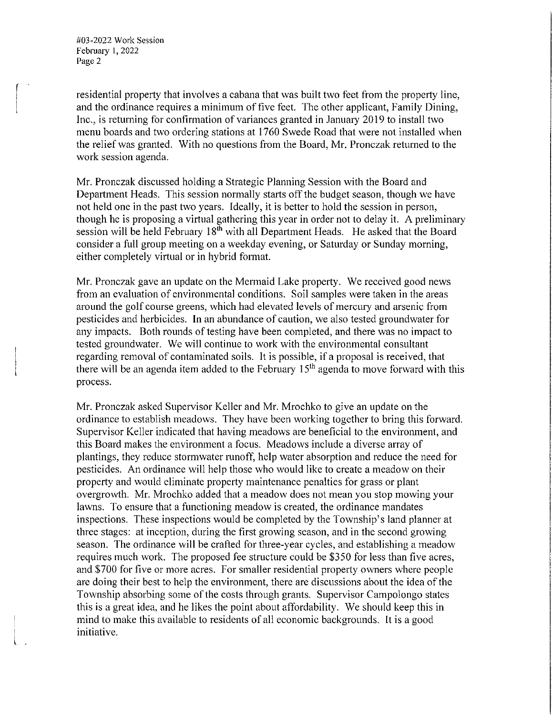#03-2022 Work Session February 1, 2022 Page 2

l

residential property that involves a cabana that was built two feet from the property line, and the ordinance requires a minimum of five feet. The other applicant, Family Dining, Inc., is returning for confirmation of variances granted in January 2019 to install two menu boards and two ordering stations at 1760 Swede Road that were not installed when the relief was granted. With no questions from the Board, Mr. Pronczak returned to the work session agenda.

Mr. Pronczak discussed holding a Strategic Planning Session with the Board and Department Heads. This session normally starts off the budget season, though we have not held one in the past two years. Ideally, it is better to hold the session in person, though he is proposing a virtual gathering this year in order not to delay it. A preliminary session will be held February  $18<sup>th</sup>$  with all Department Heads. He asked that the Board consider a full group meeting on a weekday evening, or Saturday or Sunday morning, either completely virtual or in hybrid format.

Mr. Pronczak gave an update on the Mermaid Lake property. We received good news from an evaluation of environmental conditions. Soil samples were taken in the areas around the golf course greens, which had elevated levels of mercury and arsenic from pesticides and herbicides. In an abundance of caution, we also tested groundwater for any impacts. Both rounds of testing have been completed, and there was no impact to tested groundwater. We will continue to work with the environmental consultant regarding removal of contaminated soils. It is possible, if a proposal is received, that there will be an agenda item added to the February  $15<sup>th</sup>$  agenda to move forward with this process.

Mr. Pronczak asked Supervisor Keller and Mr. Mrochko to give an update on the ordinance to establish meadows. They have been working together to bring this forward. Supervisor Keller indicated that having meadows are beneficial to the environment, and this Board makes the environment a focus. Meadows include a diverse array of plantings, they reduce stormwater runoff, help water absorption and reduce the need for pesticides. An ordinance will help those who would like to create a meadow on their property and would eliminate property maintenance penalties for grass or plant overgrowth. Mr. Mrochko added that a meadow does not mean you stop mowing your lawns. To ensure that a functioning meadow is created, the ordinance mandates inspections. These inspections would be completed by the Township's land planner at three stages: at inception, during the first growing season, and in the second growing season. The ordinance will be crafted for three-year cycles, and establishing a meadow requires much work. The proposed fee structure could be \$350 for less than five acres, and \$700 for five or more acres. For smaller residential property owners where people are doing their best to help the environment, there are discussions about the idea of the Township absorbing some of the costs through grants. Supervisor Campolongo states this is a great idea, and he likes the point about affordability. We should keep this in mind to make this available to residents of all economic backgrounds. It is a good initiative.